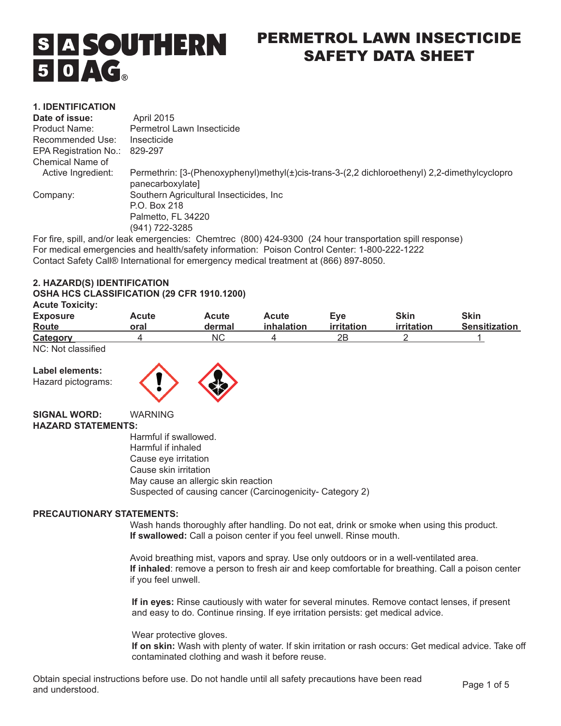

# PERMETROL LAWN INSECTICIDE SAFETY DATA SHEET

#### **1. IDENTIFICATION**

| Date of issue:        | <b>April 2015</b>                                                                                                  |
|-----------------------|--------------------------------------------------------------------------------------------------------------------|
| Product Name:         | Permetrol Lawn Insecticide                                                                                         |
| Recommended Use:      | Insecticide                                                                                                        |
| EPA Registration No.: | 829-297                                                                                                            |
| Chemical Name of      |                                                                                                                    |
| Active Ingredient:    | Permethrin: [3-(Phenoxyphenyl)methyl(±)cis-trans-3-(2,2 dichloroethenyl) 2,2-dimethylcyclopro<br>panecarboxylate]  |
| Company:              | Southern Agricultural Insecticides, Inc.                                                                           |
|                       | P.O. Box 218                                                                                                       |
|                       | Palmetto, FL 34220                                                                                                 |
|                       | (941) 722-3285                                                                                                     |
|                       | $\Gamma$ arfire, anill and/ex leak emargementes. Champines (000) 494.0900. (94 heur transportation enill response) |

For fire, spill, and/or leak emergencies: Chemtrec (800) 424-9300 (24 hour transportation spill response) For medical emergencies and health/safety information: Poison Control Center: 1-800-222-1222 Contact Safety Call® International for emergency medical treatment at (866) 897-8050.

#### **2. HAZARD(S) IDENTIFICATION**

#### **OSHA HCS CLASSIFICATION (29 CFR 1910.1200)**

| <b>Acute Toxicity:</b> |
|------------------------|
|                        |

| .<br><b>Exposure</b><br>Route | Acute<br>oral | Acute<br>dermal | Acute<br>inhalation | Eve<br>irritation | Skin<br>irritation | <b>Skin</b><br><b>Sensitization</b> |
|-------------------------------|---------------|-----------------|---------------------|-------------------|--------------------|-------------------------------------|
| Category                      |               | NС              |                     | 2Β                |                    |                                     |
|                               |               |                 |                     |                   |                    |                                     |

NC: Not classified

**Label elements:**  Hazard pictograms:



**SIGNAL WORD:** WARNING

# **HAZARD STATEMENTS:**

Harmful if swallowed. Harmful if inhaled Cause eye irritation Cause skin irritation May cause an allergic skin reaction Suspected of causing cancer (Carcinogenicity- Category 2)

#### **PRECAUTIONARY STATEMENTS:**

Wash hands thoroughly after handling. Do not eat, drink or smoke when using this product. **If swallowed:** Call a poison center if you feel unwell. Rinse mouth.

Avoid breathing mist, vapors and spray. Use only outdoors or in a well-ventilated area. **If inhaled**: remove a person to fresh air and keep comfortable for breathing. Call a poison center if you feel unwell.

**If in eyes:** Rinse cautiously with water for several minutes. Remove contact lenses, if present and easy to do. Continue rinsing. If eye irritation persists: get medical advice.

Wear protective gloves.

**If on skin:** Wash with plenty of water. If skin irritation or rash occurs: Get medical advice. Take off contaminated clothing and wash it before reuse.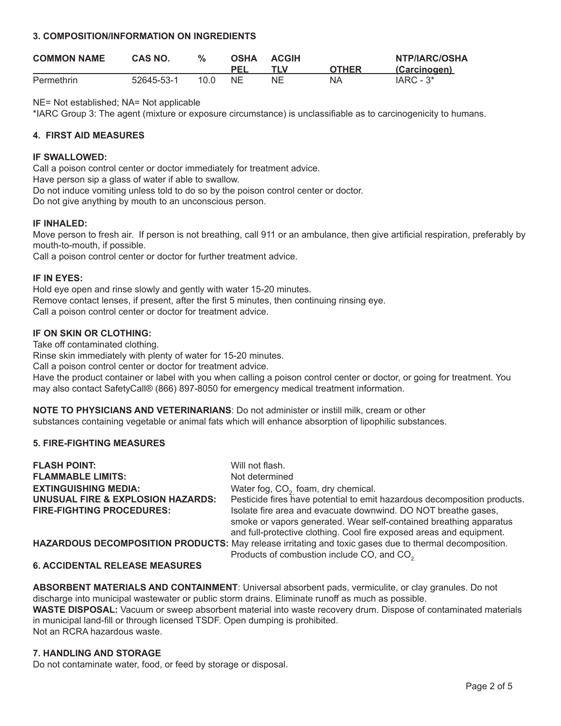#### **3. COMPOSITION/INFORMATION ON INGREDIENTS**

| <b>COMMON NAME</b> | CAS NO.    | $\%$ | <b>OSHA</b> | <b>ACGIH</b> |              | NTP/IARC/OSHA |
|--------------------|------------|------|-------------|--------------|--------------|---------------|
|                    |            |      |             |              | <b>OTHER</b> | (Carcinogen)  |
| Permethrin         | 52645-53-1 | 10.0 | NF          | NΕ           | ΝA           | $IARC - 3*$   |

NE= Not established; NA= Not applicable

\*IARC Group 3: The agent (mixture or exposure circumstance) is unclassifiable as to carcinogenicity to humans.

# **4. FIRST AID MEASURES**

#### **IF SWALLOWED:**

Call a poison control center or doctor immediately for treatment advice.

Have person sip a glass of water if able to swallow.

Do not induce vomiting unless told to do so by the poison control center or doctor.

Do not give anything by mouth to an unconscious person.

# **IF INHALED:**

Move person to fresh air. If person is not breathing, call 911 or an ambulance, then give artificial respiration, preferably by mouth-to-mouth, if possible.

Call a poison control center or doctor for further treatment advice.

#### **IF IN EYES:**

Hold eye open and rinse slowly and gently with water 15-20 minutes. Remove contact lenses, if present, after the first 5 minutes, then continuing rinsing eye. Call a poison control center or doctor for treatment advice.

# **IF ON SKIN OR CLOTHING:**

Take off contaminated clothing.

Rinse skin immediately with plenty of water for 15-20 minutes.

Call a poison control center or doctor for treatment advice.

Have the product container or label with you when calling a poison control center or doctor, or going for treatment. You may also contact SafetyCall® (866) 897-8050 for emergency medical treatment information.

**NOTE TO PHYSICIANS AND VETERINARIANS**: Do not administer or instill milk, cream or other substances containing vegetable or animal fats which will enhance absorption of lipophilic substances.

# **5. FIRE-FIGHTING MEASURES**

| <b>FLASH POINT:</b>                          | Will not flash.                                                                                                                                                                                              |
|----------------------------------------------|--------------------------------------------------------------------------------------------------------------------------------------------------------------------------------------------------------------|
| <b>FLAMMABLE LIMITS:</b>                     | Not determined                                                                                                                                                                                               |
| <b>EXTINGUISHING MEDIA:</b>                  | Water fog, $CO2$ foam, dry chemical.                                                                                                                                                                         |
| <b>UNUSUAL FIRE &amp; EXPLOSION HAZARDS:</b> | Pesticide fires have potential to emit hazardous decomposition products.                                                                                                                                     |
| <b>FIRE-FIGHTING PROCEDURES:</b>             | Isolate fire area and evacuate downwind. DO NOT breathe gases,<br>smoke or vapors generated. Wear self-contained breathing apparatus<br>and full-protective clothing. Cool fire exposed areas and equipment. |
|                                              | <b>HAZARDOUS DECOMPOSITION PRODUCTS:</b> May release irritating and toxic gases due to thermal decomposition.<br>Products of combustion include CO, and CO <sub>2</sub>                                      |
|                                              |                                                                                                                                                                                                              |

#### **6. ACCIDENTAL RELEASE MEASURES**

**ABSORBENT MATERIALS AND CONTAINMENT**: Universal absorbent pads, vermiculite, or clay granules. Do not discharge into municipal wastewater or public storm drains. Eliminate runoff as much as possible. **WASTE DISPOSAL:** Vacuum or sweep absorbent material into waste recovery drum. Dispose of contaminated materials in municipal land-fill or through licensed TSDF. Open dumping is prohibited. Not an RCRA hazardous waste.

# **7. HANDLING AND STORAGE**

Do not contaminate water, food, or feed by storage or disposal.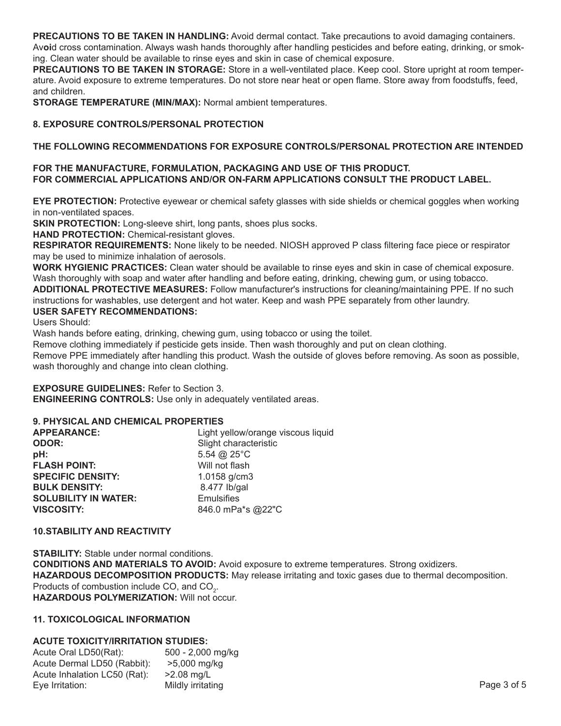**PRECAUTIONS TO BE TAKEN IN HANDLING:** Avoid dermal contact. Take precautions to avoid damaging containers. Av**oi**d cross contamination. Always wash hands thoroughly after handling pesticides and before eating, drinking, or smoking. Clean water should be available to rinse eyes and skin in case of chemical exposure.

**PRECAUTIONS TO BE TAKEN IN STORAGE:** Store in a well-ventilated place. Keep cool. Store upright at room temperature. Avoid exposure to extreme temperatures. Do not store near heat or open flame. Store away from foodstuffs, feed, and children.

**STORAGE TEMPERATURE (MIN/MAX):** Normal ambient temperatures.

# **8. EXPOSURE CONTROLS/PERSONAL PROTECTION**

# **THE FOLLOWING RECOMMENDATIONS FOR EXPOSURE CONTROLS/PERSONAL PROTECTION ARE INTENDED**

#### **FOR THE MANUFACTURE, FORMULATION, PACKAGING AND USE OF THIS PRODUCT. FOR COMMERCIAL APPLICATIONS AND/OR ON-FARM APPLICATIONS CONSULT THE PRODUCT LABEL.**

**EYE PROTECTION:** Protective eyewear or chemical safety glasses with side shields or chemical goggles when working in non-ventilated spaces.

**SKIN PROTECTION:** Long-sleeve shirt, long pants, shoes plus socks.

**HAND PROTECTION:** Chemical-resistant gloves.

**RESPIRATOR REQUIREMENTS:** None likely to be needed. NIOSH approved P class filtering face piece or respirator may be used to minimize inhalation of aerosols.

**WORK HYGIENIC PRACTICES:** Clean water should be available to rinse eyes and skin in case of chemical exposure. Wash thoroughly with soap and water after handling and before eating, drinking, chewing gum, or using tobacco.

**ADDITIONAL PROTECTIVE MEASURES:** Follow manufacturer's instructions for cleaning/maintaining PPE. If no such instructions for washables, use detergent and hot water. Keep and wash PPE separately from other laundry.

# **USER SAFETY RECOMMENDATIONS:**

Users Should:

Wash hands before eating, drinking, chewing gum, using tobacco or using the toilet.

Remove clothing immediately if pesticide gets inside. Then wash thoroughly and put on clean clothing.

Remove PPE immediately after handling this product. Wash the outside of gloves before removing. As soon as possible, wash thoroughly and change into clean clothing.

**EXPOSURE GUIDELINES:** Refer to Section 3.

**ENGINEERING CONTROLS:** Use only in adequately ventilated areas.

# **9. PHYSICAL AND CHEMICAL PROPERTIES**

| Light yellow/orange viscous liquid |
|------------------------------------|
| Slight characteristic              |
| 5.54 @ $25^{\circ}$ C              |
| Will not flash                     |
| 1.0158 g/cm3                       |
| 8.477 lb/gal                       |
| <b>Emulsifies</b>                  |
| 846.0 mPa*s @22"C                  |
|                                    |

#### **10.STABILITY AND REACTIVITY**

**STABILITY:** Stable under normal conditions. **CONDITIONS AND MATERIALS TO AVOID:** Avoid exposure to extreme temperatures. Strong oxidizers. **HAZARDOUS DECOMPOSITION PRODUCTS:** May release irritating and toxic gases due to thermal decomposition. Products of combustion include CO, and  $CO<sub>2</sub>$ . **HAZARDOUS POLYMERIZATION:** Will not occur.

# **11. TOXICOLOGICAL INFORMATION**

# **ACUTE TOXICITY/IRRITATION STUDIES:**

| Acute Oral LD50(Rat):        | 500 - 2,000 mg/kg |             |
|------------------------------|-------------------|-------------|
| Acute Dermal LD50 (Rabbit):  | >5.000 ma/ka      |             |
| Acute Inhalation LC50 (Rat): | >2.08 ma/L        |             |
| Eye Irritation:              | Mildly irritating | Page 3 of 5 |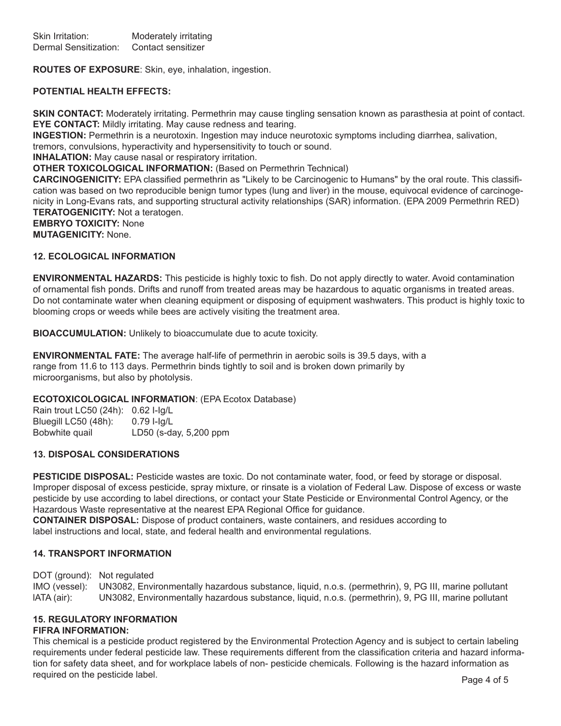**ROUTES OF EXPOSURE**: Skin, eye, inhalation, ingestion.

#### **POTENTIAL HEALTH EFFECTS:**

**SKIN CONTACT:** Moderately irritating. Permethrin may cause tingling sensation known as parasthesia at point of contact. **EYE CONTACT:** Mildly irritating. May cause redness and tearing.

**INGESTION:** Permethrin is a neurotoxin. Ingestion may induce neurotoxic symptoms including diarrhea, salivation,

tremors, convulsions, hyperactivity and hypersensitivity to touch or sound.

**INHALATION:** May cause nasal or respiratory irritation.

**OTHER TOXICOLOGICAL INFORMATION:** (Based on Permethrin Technical)

**CARCINOGENICITY:** EPA classified permethrin as "Likely to be Carcinogenic to Humans" by the oral route. This classification was based on two reproducible benign tumor types (lung and liver) in the mouse, equivocal evidence of carcinogenicity in Long-Evans rats, and supporting structural activity relationships (SAR) information. (EPA 2009 Permethrin RED) **TERATOGENICITY:** Not a teratogen.

**EMBRYO TOXICITY:** None

**MUTAGENICITY:** None.

#### **12. ECOLOGICAL INFORMATION**

**ENVIRONMENTAL HAZARDS:** This pesticide is highly toxic to fish. Do not apply directly to water. Avoid contamination of ornamental fish ponds. Drifts and runoff from treated areas may be hazardous to aquatic organisms in treated areas. Do not contaminate water when cleaning equipment or disposing of equipment washwaters. This product is highly toxic to blooming crops or weeds while bees are actively visiting the treatment area.

**BIOACCUMULATION:** Unlikely to bioaccumulate due to acute toxicity.

**ENVIRONMENTAL FATE:** The average half-life of permethrin in aerobic soils is 39.5 days, with a range from 11.6 to 113 days. Permethrin binds tightly to soil and is broken down primarily by microorganisms, but also by photolysis.

#### **ECOTOXICOLOGICAL INFORMATION**: (EPA Ecotox Database)

Rain trout LC50 (24h): 0.62 I-Ig/L Bluegill LC50 (48h): 0.79 I-Ig/L Bobwhite quail LD50 (s-day, 5,200 ppm

# **13. DISPOSAL CONSIDERATIONS**

**PESTICIDE DISPOSAL:** Pesticide wastes are toxic. Do not contaminate water, food, or feed by storage or disposal. Improper disposal of excess pesticide, spray mixture, or rinsate is a violation of Federal Law. Dispose of excess or waste pesticide by use according to label directions, or contact your State Pesticide or Environmental Control Agency, or the Hazardous Waste representative at the nearest EPA Regional Office for guidance.

**CONTAINER DISPOSAL:** Dispose of product containers, waste containers, and residues according to label instructions and local, state, and federal health and environmental regulations.

#### **14. TRANSPORT INFORMATION**

DOT (ground): Not regulated

IMO (vessel): UN3082, Environmentally hazardous substance, liquid, n.o.s. (permethrin), 9, PG III, marine pollutant lATA (air): UN3082, Environmentally hazardous substance, liquid, n.o.s. (permethrin), 9, PG III, marine pollutant

#### **15. REGULATORY INFORMATION FIFRA INFORMATION:**

This chemical is a pesticide product registered by the Environmental Protection Agency and is subject to certain labeling requirements under federal pesticide law. These requirements different from the classification criteria and hazard information for safety data sheet, and for workplace labels of non- pesticide chemicals. Following is the hazard information as required on the pesticide label. The same state of 5 and 2 of 5 and 2 of 5 and 2 of 5 and 2 of 5 and 2 of 5 and 2 of 5